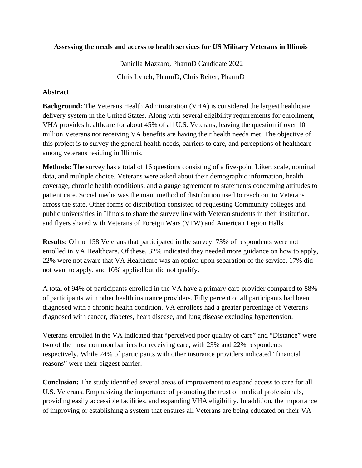## **Assessing the needs and access to health services for US Military Veterans in Illinois**

Daniella Mazzaro, PharmD Candidate 2022 Chris Lynch, PharmD, Chris Reiter, PharmD

## **Abstract**

**Background:** The Veterans Health Administration (VHA) is considered the largest healthcare delivery system in the United States. Along with several eligibility requirements for enrollment, VHA provides healthcare for about 45% of all U.S. Veterans, leaving the question if over 10 million Veterans not receiving VA benefits are having their health needs met. The objective of this project is to survey the general health needs, barriers to care, and perceptions of healthcare among veterans residing in Illinois.

**Methods:** The survey has a total of 16 questions consisting of a five-point Likert scale, nominal data, and multiple choice. Veterans were asked about their demographic information, health coverage, chronic health conditions, and a gauge agreement to statements concerning attitudes to patient care. Social media was the main method of distribution used to reach out to Veterans across the state. Other forms of distribution consisted of requesting Community colleges and public universities in Illinois to share the survey link with Veteran students in their institution, and flyers shared with Veterans of Foreign Wars (VFW) and American Legion Halls.

**Results:** Of the 158 Veterans that participated in the survey, 73% of respondents were not enrolled in VA Healthcare. Of these, 32% indicated they needed more guidance on how to apply, 22% were not aware that VA Healthcare was an option upon separation of the service, 17% did not want to apply, and 10% applied but did not qualify.

A total of 94% of participants enrolled in the VA have a primary care provider compared to 88% of participants with other health insurance providers. Fifty percent of all participants had been diagnosed with a chronic health condition. VA enrollees had a greater percentage of Veterans diagnosed with cancer, diabetes, heart disease, and lung disease excluding hypertension.

Veterans enrolled in the VA indicated that "perceived poor quality of care" and "Distance" were two of the most common barriers for receiving care, with 23% and 22% respondents respectively. While 24% of participants with other insurance providers indicated "financial reasons" were their biggest barrier.

**Conclusion:** The study identified several areas of improvement to expand access to care for all U.S. Veterans. Emphasizing the importance of promoting the trust of medical professionals, providing easily accessible facilities, and expanding VHA eligibility. In addition, the importance of improving or establishing a system that ensures all Veterans are being educated on their VA